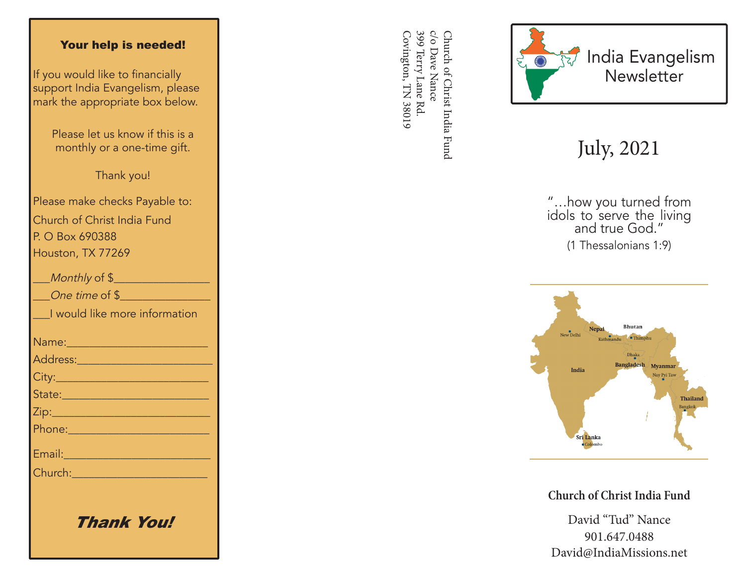#### Your help is needed!

If you would like to financially support India Evangelism, please mark the appropriate box below.

> Please let us know if this is a monthly or a one-time gift.

> > Thank you!

Please make checks Payable to: Church of Christ India Fund P. O Box 690388 Houston, TX 77269

| Monthly of \$                                                                                                                                                                                                                        |
|--------------------------------------------------------------------------------------------------------------------------------------------------------------------------------------------------------------------------------------|
| One time of \$                                                                                                                                                                                                                       |
| I would like more information                                                                                                                                                                                                        |
|                                                                                                                                                                                                                                      |
|                                                                                                                                                                                                                                      |
|                                                                                                                                                                                                                                      |
| State: <u>___________________________</u>                                                                                                                                                                                            |
|                                                                                                                                                                                                                                      |
| <u> Phone: 2008 - 2008 - 2008 - 2018 - 2018 - 2018 - 2018 - 2018 - 2018 - 2018 - 2018 - 2018 - 2018 - 2018 - 201</u>                                                                                                                 |
| Email: No. 1999                                                                                                                                                                                                                      |
| Church: <u>Alexander Alexander Alexander Alexander Alexander Alexander Alexander Alexander Alexander Alexander Alexander Alexander Alexander Alexander Alexander Alexander Alexander Alexander Alexander Alexander Alexander Ale</u> |
|                                                                                                                                                                                                                                      |
|                                                                                                                                                                                                                                      |

Thank You!

399 Terry Lane Rd c/o Dave Nance Covington, TN 38019 Covington, TN 38019 399 Terry Lane Rd. c/o Dave Nance Church of Christ India Fund Church of Christ India Fund



# July, 2021

"…how you turned from idols to serve the living and true God." (1 Thessalonians 1:9)



**Church of Christ India Fund**

David "Tud" Nance 901.647.0488 David@IndiaMissions.net